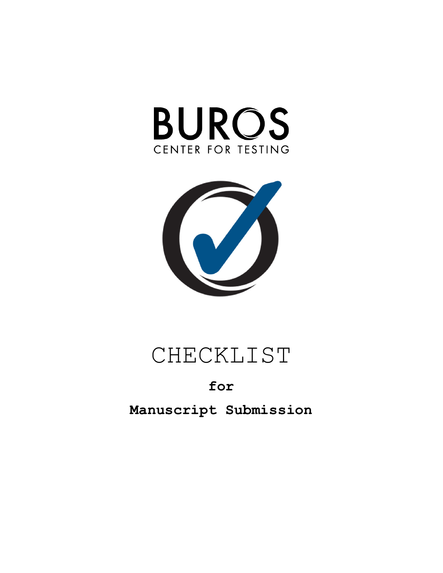



# CHECKLIST

# **for**

**Manuscript Submission**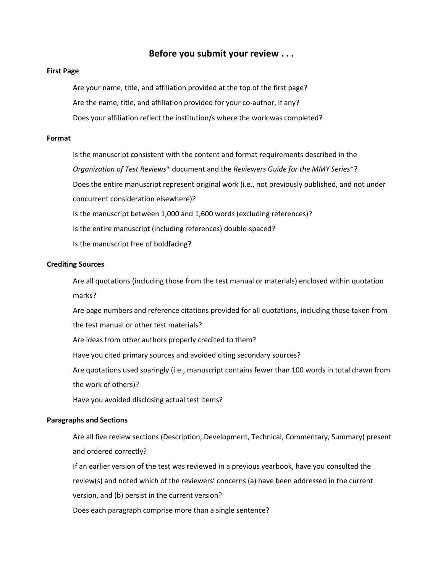# **Before you submit your review . . .**

#### **First Page**

 Are your name, title, and affiliation provided at the top of the first page? Are the name, title, and affiliation provided for your co-author, if any? Does your affiliation reflect the institution/s where the work was completed?

#### **Format**

 Is the manuscript consistent with the content and format requirements described in the *Organization of Test Reviews*\* document and the *Reviewers Guide for the MMY Series*\*? Does the entire manuscript represent original work (i.e., not previously published, and not under concurrent consideration elsewhere)? Is the manuscript between 1,000 and 1,600 words (excluding references)? Is the entire manuscript (including references) double-spaced? Is the manuscript free of boldfacing?

#### **Crediting Sources**

 Are all quotations (including those from the test manual or materials) enclosed within quotation marks?

 Are page numbers and reference citations provided for all quotations, including those taken from the test manual or other test materials?

Are ideas from other authors properly credited to them?

Have you cited primary sources and avoided citing secondary sources?

 Are quotations used sparingly (i.e., manuscript contains fewer than 100 words in total drawn from the work of others)?

Have you avoided disclosing actual test items?

#### **Paragraphs and Sections**

 Are all five review sections (Description, Development, Technical, Commentary, Summary) present and ordered correctly?

 If an earlier version of the test was reviewed in a previous yearbook, have you consulted the review(s) and noted which of the reviewers' concerns (a) have been addressed in the current version, and (b) persist in the current version?

Does each paragraph comprise more than a single sentence?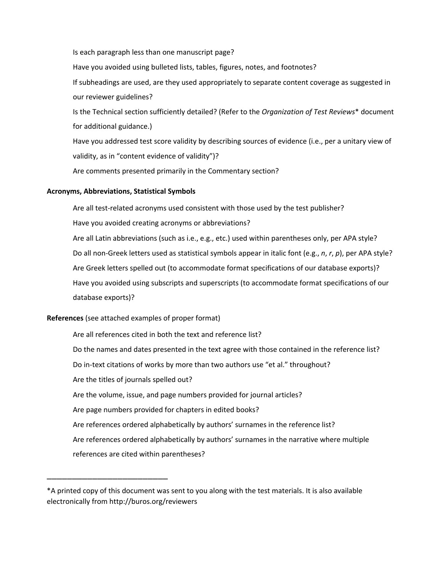Is each paragraph less than one manuscript page?

Have you avoided using bulleted lists, tables, figures, notes, and footnotes?

 If subheadings are used, are they used appropriately to separate content coverage as suggested in our reviewer guidelines?

 Is the Technical section sufficiently detailed? (Refer to the *Organization of Test Reviews*\* document for additional guidance.)

 Have you addressed test score validity by describing sources of evidence (i.e., per a unitary view of validity, as in "content evidence of validity")?

Are comments presented primarily in the Commentary section?

### **Acronyms, Abbreviations, Statistical Symbols**

 Are all test-related acronyms used consistent with those used by the test publisher? Have you avoided creating acronyms or abbreviations? Are all Latin abbreviations (such as i.e., e.g., etc.) used within parentheses only, per APA style? Do all non-Greek letters used as statistical symbols appear in italic font (e.g., *n*, *r*, *p*), per APA style? Are Greek letters spelled out (to accommodate format specifications of our database exports)? Have you avoided using subscripts and superscripts (to accommodate format specifications of our database exports)?

## **References** (see attached examples of proper format)

\_\_\_\_\_\_\_\_\_\_\_\_\_\_\_\_\_\_\_\_\_\_\_\_

 Are all references cited in both the text and reference list? Do the names and dates presented in the text agree with those contained in the reference list? Do in-text citations of works by more than two authors use "et al." throughout? Are the titles of journals spelled out? Are the volume, issue, and page numbers provided for journal articles? Are page numbers provided for chapters in edited books? Are references ordered alphabetically by authors' surnames in the reference list? Are references ordered alphabetically by authors' surnames in the narrative where multiple references are cited within parentheses?

<sup>\*</sup>A printed copy of this document was sent to you along with the test materials. It is also available electronically from http://buros.org/reviewers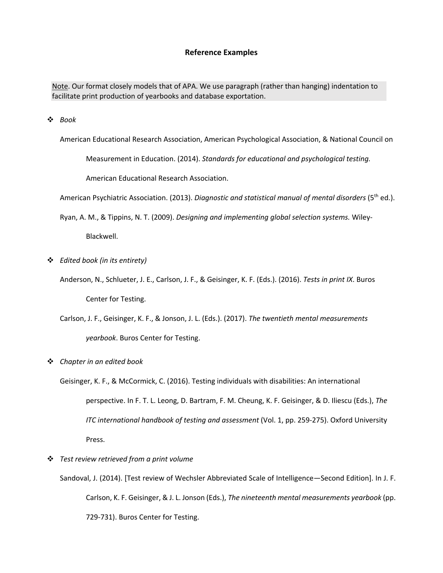#### **Reference Examples**

Note. Our format closely models that of APA. We use paragraph (rather than hanging) indentation to facilitate print production of yearbooks and database exportation.

v *Book*

American Educational Research Association, American Psychological Association, & National Council on

Measurement in Education. (2014). *Standards for educational and psychological testing.* 

American Educational Research Association.

American Psychiatric Association. (2013). *Diagnostic and statistical manual of mental disorders* (5<sup>th</sup> ed.).

Ryan, A. M., & Tippins, N. T. (2009). *Designing and implementing global selection systems.* Wiley-

Blackwell.

- v *Edited book (in its entirety)*
	- Anderson, N., Schlueter, J. E., Carlson, J. F., & Geisinger, K. F. (Eds.). (2016). *Tests in print IX*. Buros Center for Testing.
	- Carlson, J. F., Geisinger, K. F., & Jonson, J. L. (Eds.). (2017). *The twentieth mental measurements yearbook*. Buros Center for Testing.
- v *Chapter in an edited book*
	- Geisinger, K. F., & McCormick, C. (2016). Testing individuals with disabilities: An international perspective. In F. T. L. Leong, D. Bartram, F. M. Cheung, K. F. Geisinger, & D. Iliescu (Eds.), *The ITC international handbook of testing and assessment* (Vol. 1, pp. 259-275). Oxford University Press.
- v *Test review retrieved from a print volume*
	- Sandoval, J. (2014). [Test review of Wechsler Abbreviated Scale of Intelligence—Second Edition]. In J. F. Carlson, K. F. Geisinger, & J. L. Jonson (Eds.), *The nineteenth mental measurements yearbook* (pp. 729-731). Buros Center for Testing.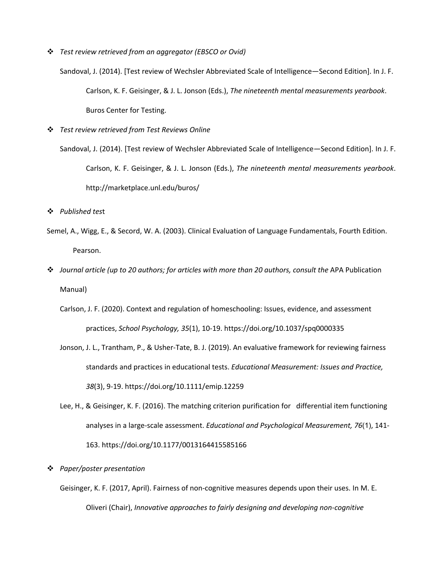v *Test review retrieved from an aggregator (EBSCO or Ovid)*

Sandoval, J. (2014). [Test review of Wechsler Abbreviated Scale of Intelligence—Second Edition]. In J. F. Carlson, K. F. Geisinger, & J. L. Jonson (Eds.), *The nineteenth mental measurements yearbook*. Buros Center for Testing.

v *Test review retrieved from Test Reviews Online*

Sandoval, J. (2014). [Test review of Wechsler Abbreviated Scale of Intelligence—Second Edition]. In J. F. Carlson, K. F. Geisinger, & J. L. Jonson (Eds.), *The nineteenth mental measurements yearbook*. http://marketplace.unl.edu/buros/

v *Published tes*t

- Semel, A., Wigg, E., & Secord, W. A. (2003). Clinical Evaluation of Language Fundamentals, Fourth Edition. Pearson.
- v *Journal article (up to 20 authors; for articles with more than 20 authors, consult the* APA Publication Manual)
	- Carlson, J. F. (2020). Context and regulation of homeschooling: Issues, evidence, and assessment practices, *School Psychology, 35*(1), 10-19. https://doi.org/10.1037/spq0000335
	- Jonson, J. L., Trantham, P., & Usher-Tate, B. J. (2019). An evaluative framework for reviewing fairness standards and practices in educational tests. *Educational Measurement: Issues and Practice, 38*(3), 9-19. https://doi.org/10.1111/emip.12259
	- Lee, H., & Geisinger, K. F. (2016). The matching criterion purification for differential item functioning analyses in a large-scale assessment. *Educational and Psychological Measurement, 76*(1), 141- 163. https://doi.org/10.1177/0013164415585166

#### v *Paper/poster presentation*

Geisinger, K. F. (2017, April). Fairness of non-cognitive measures depends upon their uses. In M. E. Oliveri (Chair), *Innovative approaches to fairly designing and developing non-cognitive*